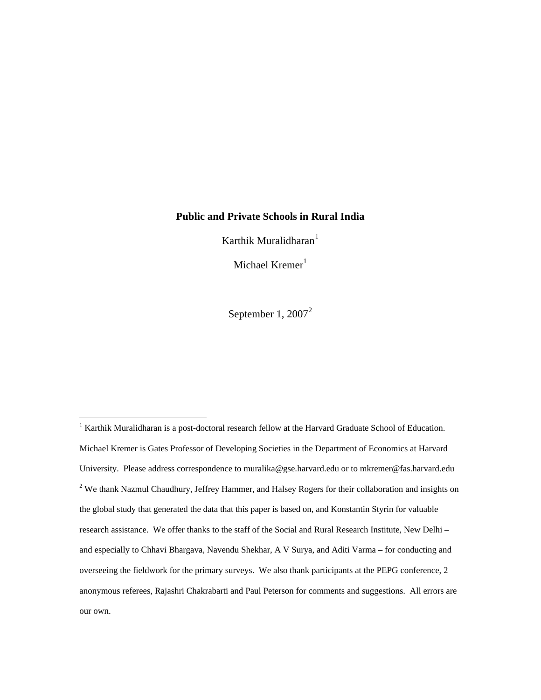# **Public and Private Schools in Rural India**

Karthik Muralidharan $<sup>1</sup>$  $<sup>1</sup>$  $<sup>1</sup>$ </sup>

Michael  $Kremer<sup>1</sup>$ 

September 1, [2](#page-0-1)007 $^2$ 

 $\overline{a}$ 

<span id="page-0-1"></span><span id="page-0-0"></span><sup>&</sup>lt;sup>1</sup> Karthik Muralidharan is a post-doctoral research fellow at the Harvard Graduate School of Education. Michael Kremer is Gates Professor of Developing Societies in the Department of Economics at Harvard University. Please address correspondence to muralika@gse.harvard.edu or to mkremer@fas.harvard.edu  $2$  We thank Nazmul Chaudhury, Jeffrey Hammer, and Halsey Rogers for their collaboration and insights on the global study that generated the data that this paper is based on, and Konstantin Styrin for valuable research assistance. We offer thanks to the staff of the Social and Rural Research Institute, New Delhi – and especially to Chhavi Bhargava, Navendu Shekhar, A V Surya, and Aditi Varma – for conducting and overseeing the fieldwork for the primary surveys. We also thank participants at the PEPG conference, 2 anonymous referees, Rajashri Chakrabarti and Paul Peterson for comments and suggestions. All errors are our own.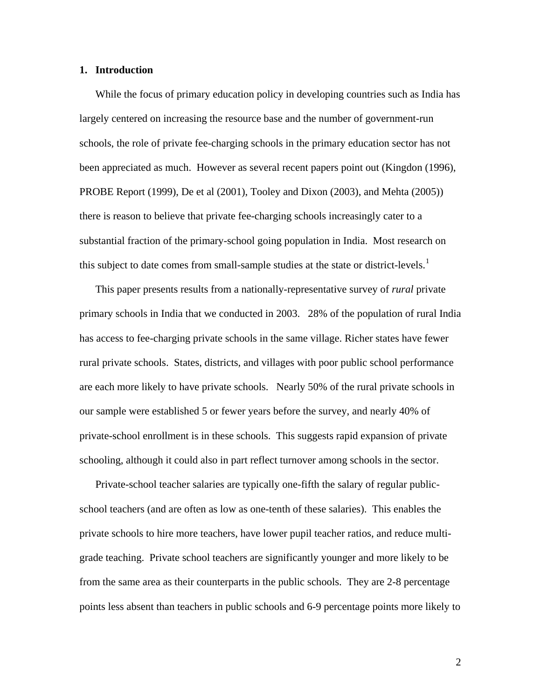#### **1. Introduction**

While the focus of primary education policy in developing countries such as India has largely centered on increasing the resource base and the number of government-run schools, the role of private fee-charging schools in the primary education sector has not been appreciated as much. However as several recent papers point out (Kingdon (1996), PROBE Report (1999), De et al (2001), Tooley and Dixon (2003), and Mehta (2005)) there is reason to believe that private fee-charging schools increasingly cater to a substantial fraction of the primary-school going population in India. Most research on this subject to date comes from small-sample studies at the state or district-levels.<sup>[1](#page-16-0)</sup>

This paper presents results from a nationally-representative survey of *rural* private primary schools in India that we conducted in 2003. 28% of the population of rural India has access to fee-charging private schools in the same village. Richer states have fewer rural private schools. States, districts, and villages with poor public school performance are each more likely to have private schools. Nearly 50% of the rural private schools in our sample were established 5 or fewer years before the survey, and nearly 40% of private-school enrollment is in these schools. This suggests rapid expansion of private schooling, although it could also in part reflect turnover among schools in the sector.

Private-school teacher salaries are typically one-fifth the salary of regular publicschool teachers (and are often as low as one-tenth of these salaries). This enables the private schools to hire more teachers, have lower pupil teacher ratios, and reduce multigrade teaching. Private school teachers are significantly younger and more likely to be from the same area as their counterparts in the public schools. They are 2-8 percentage points less absent than teachers in public schools and 6-9 percentage points more likely to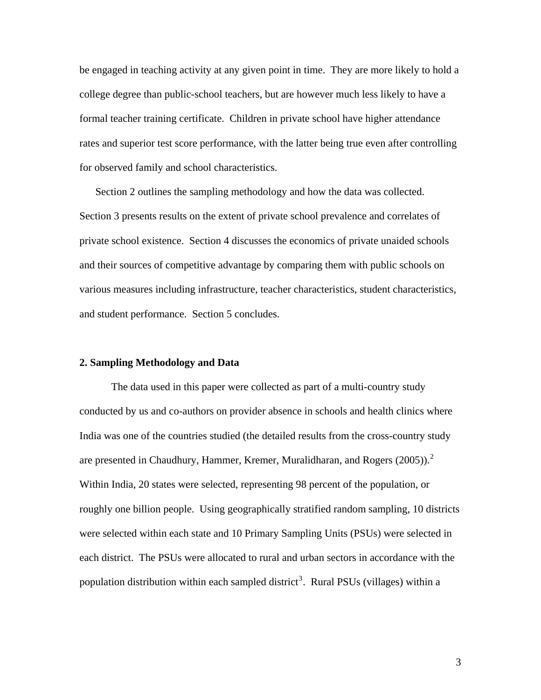be engaged in teaching activity at any given point in time. They are more likely to hold a college degree than public-school teachers, but are however much less likely to have a formal teacher training certificate. Children in private school have higher attendance rates and superior test score performance, with the latter being true even after controlling for observed family and school characteristics.

Section 2 outlines the sampling methodology and how the data was collected. Section 3 presents results on the extent of private school prevalence and correlates of private school existence. Section 4 discusses the economics of private unaided schools and their sources of competitive advantage by comparing them with public schools on various measures including infrastructure, teacher characteristics, student characteristics, and student performance. Section 5 concludes.

# **2. Sampling Methodology and Data**

The data used in this paper were collected as part of a multi-country study conducted by us and co-authors on provider absence in schools and health clinics where India was one of the countries studied (the detailed results from the cross-country study are presented in Chaudhury, Hammer, Kremer, Muralidharan, and Rogers  $(2005)$  $(2005)$  $(2005)$ .<sup>2</sup> Within India, 20 states were selected, representing 98 percent of the population, or roughly one billion people. Using geographically stratified random sampling, 10 districts were selected within each state and 10 Primary Sampling Units (PSUs) were selected in each district. The PSUs were allocated to rural and urban sectors in accordance with the population distribution within each sampled district<sup>[3](#page-17-0)</sup>. Rural PSUs (villages) within a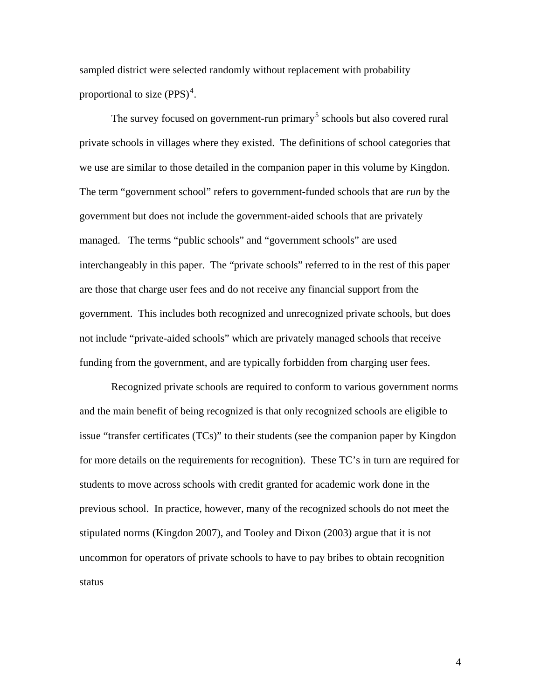sampled district were selected randomly without replacement with probability proportional to size  $(PPS)^4$  $(PPS)^4$ .

The survey focused on government-run primary<sup>[5](#page-17-0)</sup> schools but also covered rural private schools in villages where they existed. The definitions of school categories that we use are similar to those detailed in the companion paper in this volume by Kingdon. The term "government school" refers to government-funded schools that are *run* by the government but does not include the government-aided schools that are privately managed. The terms "public schools" and "government schools" are used interchangeably in this paper. The "private schools" referred to in the rest of this paper are those that charge user fees and do not receive any financial support from the government. This includes both recognized and unrecognized private schools, but does not include "private-aided schools" which are privately managed schools that receive funding from the government, and are typically forbidden from charging user fees.

Recognized private schools are required to conform to various government norms and the main benefit of being recognized is that only recognized schools are eligible to issue "transfer certificates (TCs)" to their students (see the companion paper by Kingdon for more details on the requirements for recognition). These TC's in turn are required for students to move across schools with credit granted for academic work done in the previous school. In practice, however, many of the recognized schools do not meet the stipulated norms (Kingdon 2007), and Tooley and Dixon (2003) argue that it is not uncommon for operators of private schools to have to pay bribes to obtain recognition status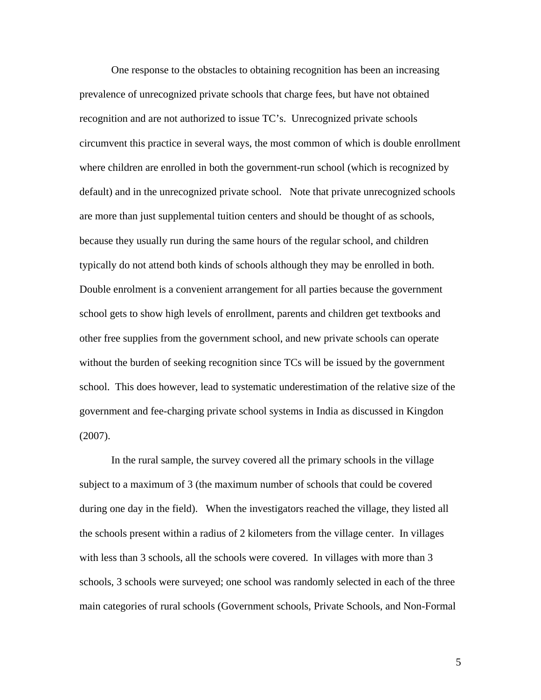One response to the obstacles to obtaining recognition has been an increasing prevalence of unrecognized private schools that charge fees, but have not obtained recognition and are not authorized to issue TC's. Unrecognized private schools circumvent this practice in several ways, the most common of which is double enrollment where children are enrolled in both the government-run school (which is recognized by default) and in the unrecognized private school. Note that private unrecognized schools are more than just supplemental tuition centers and should be thought of as schools, because they usually run during the same hours of the regular school, and children typically do not attend both kinds of schools although they may be enrolled in both. Double enrolment is a convenient arrangement for all parties because the government school gets to show high levels of enrollment, parents and children get textbooks and other free supplies from the government school, and new private schools can operate without the burden of seeking recognition since TCs will be issued by the government school. This does however, lead to systematic underestimation of the relative size of the government and fee-charging private school systems in India as discussed in Kingdon (2007).

In the rural sample, the survey covered all the primary schools in the village subject to a maximum of 3 (the maximum number of schools that could be covered during one day in the field). When the investigators reached the village, they listed all the schools present within a radius of 2 kilometers from the village center. In villages with less than 3 schools, all the schools were covered. In villages with more than 3 schools, 3 schools were surveyed; one school was randomly selected in each of the three main categories of rural schools (Government schools, Private Schools, and Non-Formal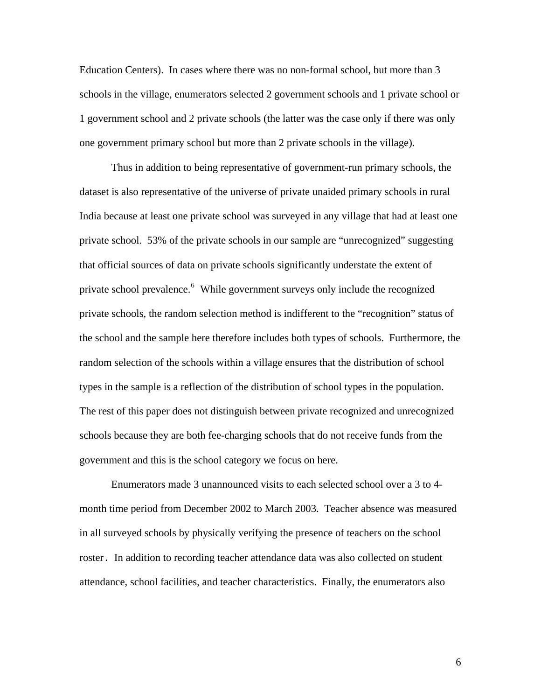Education Centers). In cases where there was no non-formal school, but more than 3 schools in the village, enumerators selected 2 government schools and 1 private school or 1 government school and 2 private schools (the latter was the case only if there was only one government primary school but more than 2 private schools in the village).

Thus in addition to being representative of government-run primary schools, the dataset is also representative of the universe of private unaided primary schools in rural India because at least one private school was surveyed in any village that had at least one private school. 53% of the private schools in our sample are "unrecognized" suggesting that official sources of data on private schools significantly understate the extent of private school prevalence.<sup>[6](#page-17-0)</sup> While government surveys only include the recognized private schools, the random selection method is indifferent to the "recognition" status of the school and the sample here therefore includes both types of schools. Furthermore, the random selection of the schools within a village ensures that the distribution of school types in the sample is a reflection of the distribution of school types in the population. The rest of this paper does not distinguish between private recognized and unrecognized schools because they are both fee-charging schools that do not receive funds from the government and this is the school category we focus on here.

Enumerators made 3 unannounced visits to each selected school over a 3 to 4 month time period from December 2002 to March 2003. Teacher absence was measured in all surveyed schools by physically verifying the presence of teachers on the school roster. In addition to recording teacher attendance data was also collected on student attendance, school facilities, and teacher characteristics. Finally, the enumerators also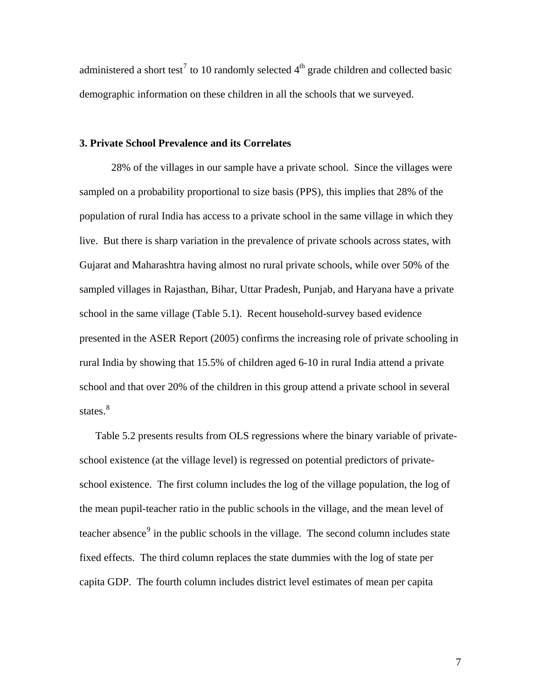administered a short test<sup>[7](#page-17-0)</sup> to 10 randomly selected  $4<sup>th</sup>$  grade children and collected basic demographic information on these children in all the schools that we surveyed.

# **3. Private School Prevalence and its Correlates**

28% of the villages in our sample have a private school. Since the villages were sampled on a probability proportional to size basis (PPS), this implies that 28% of the population of rural India has access to a private school in the same village in which they live. But there is sharp variation in the prevalence of private schools across states, with Gujarat and Maharashtra having almost no rural private schools, while over 50% of the sampled villages in Rajasthan, Bihar, Uttar Pradesh, Punjab, and Haryana have a private school in the same village (Table 5.1). Recent household-survey based evidence presented in the ASER Report (2005) confirms the increasing role of private schooling in rural India by showing that 15.5% of children aged 6-10 in rural India attend a private school and that over 20% of the children in this group attend a private school in several states.<sup>[8](#page-17-0)</sup>

Table 5.2 presents results from OLS regressions where the binary variable of privateschool existence (at the village level) is regressed on potential predictors of privateschool existence. The first column includes the log of the village population, the log of the mean pupil-teacher ratio in the public schools in the village, and the mean level of teacher absence<sup>[9](#page-17-0)</sup> in the public schools in the village. The second column includes state fixed effects. The third column replaces the state dummies with the log of state per capita GDP. The fourth column includes district level estimates of mean per capita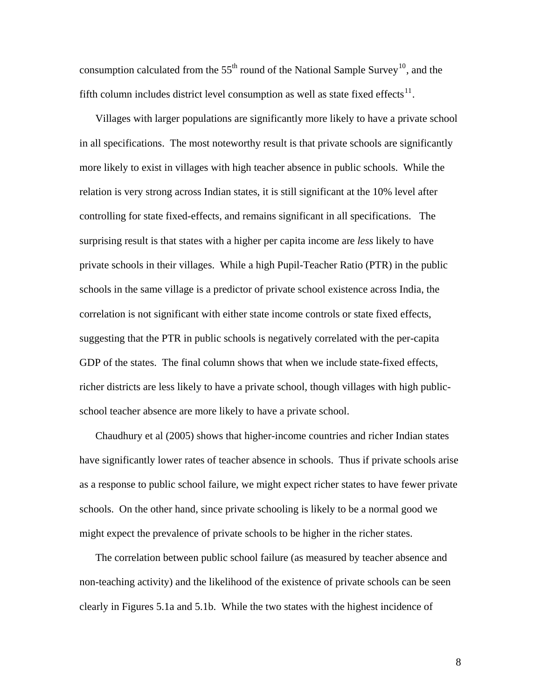consumption calculated from the  $55<sup>th</sup>$  round of the National Sample Survey<sup>[10](#page-17-0)</sup>, and the fifth column includes district level consumption as well as state fixed effects<sup>[11](#page-18-0)</sup>.

Villages with larger populations are significantly more likely to have a private school in all specifications. The most noteworthy result is that private schools are significantly more likely to exist in villages with high teacher absence in public schools. While the relation is very strong across Indian states, it is still significant at the 10% level after controlling for state fixed-effects, and remains significant in all specifications. The surprising result is that states with a higher per capita income are *less* likely to have private schools in their villages. While a high Pupil-Teacher Ratio (PTR) in the public schools in the same village is a predictor of private school existence across India, the correlation is not significant with either state income controls or state fixed effects, suggesting that the PTR in public schools is negatively correlated with the per-capita GDP of the states. The final column shows that when we include state-fixed effects, richer districts are less likely to have a private school, though villages with high publicschool teacher absence are more likely to have a private school.

Chaudhury et al (2005) shows that higher-income countries and richer Indian states have significantly lower rates of teacher absence in schools. Thus if private schools arise as a response to public school failure, we might expect richer states to have fewer private schools. On the other hand, since private schooling is likely to be a normal good we might expect the prevalence of private schools to be higher in the richer states.

The correlation between public school failure (as measured by teacher absence and non-teaching activity) and the likelihood of the existence of private schools can be seen clearly in Figures 5.1a and 5.1b. While the two states with the highest incidence of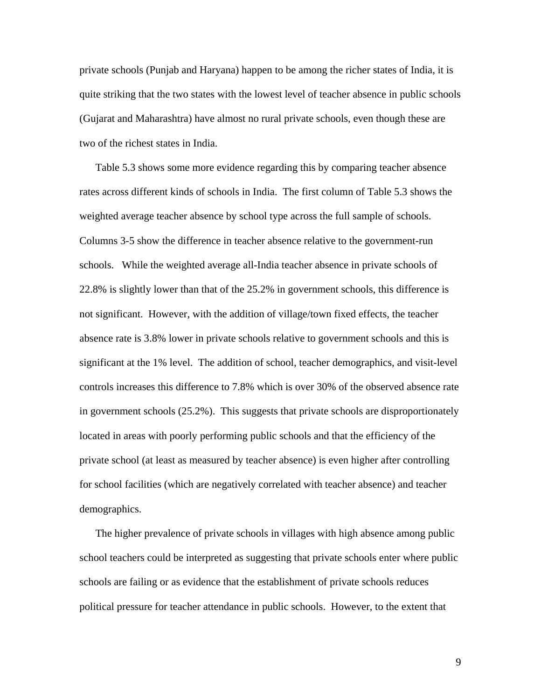private schools (Punjab and Haryana) happen to be among the richer states of India, it is quite striking that the two states with the lowest level of teacher absence in public schools (Gujarat and Maharashtra) have almost no rural private schools, even though these are two of the richest states in India.

Table 5.3 shows some more evidence regarding this by comparing teacher absence rates across different kinds of schools in India. The first column of Table 5.3 shows the weighted average teacher absence by school type across the full sample of schools. Columns 3-5 show the difference in teacher absence relative to the government-run schools. While the weighted average all-India teacher absence in private schools of 22.8% is slightly lower than that of the 25.2% in government schools, this difference is not significant. However, with the addition of village/town fixed effects, the teacher absence rate is 3.8% lower in private schools relative to government schools and this is significant at the 1% level. The addition of school, teacher demographics, and visit-level controls increases this difference to 7.8% which is over 30% of the observed absence rate in government schools (25.2%). This suggests that private schools are disproportionately located in areas with poorly performing public schools and that the efficiency of the private school (at least as measured by teacher absence) is even higher after controlling for school facilities (which are negatively correlated with teacher absence) and teacher demographics.

The higher prevalence of private schools in villages with high absence among public school teachers could be interpreted as suggesting that private schools enter where public schools are failing or as evidence that the establishment of private schools reduces political pressure for teacher attendance in public schools. However, to the extent that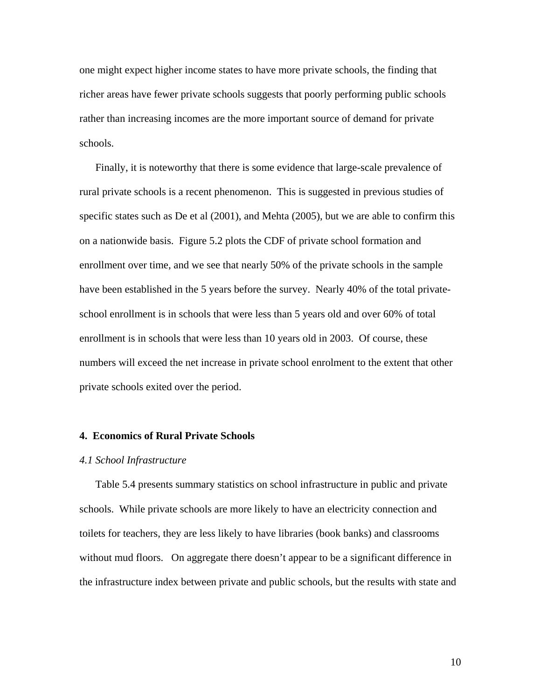one might expect higher income states to have more private schools, the finding that richer areas have fewer private schools suggests that poorly performing public schools rather than increasing incomes are the more important source of demand for private schools.

Finally, it is noteworthy that there is some evidence that large-scale prevalence of rural private schools is a recent phenomenon. This is suggested in previous studies of specific states such as De et al (2001), and Mehta (2005), but we are able to confirm this on a nationwide basis. Figure 5.2 plots the CDF of private school formation and enrollment over time, and we see that nearly 50% of the private schools in the sample have been established in the 5 years before the survey. Nearly 40% of the total privateschool enrollment is in schools that were less than 5 years old and over 60% of total enrollment is in schools that were less than 10 years old in 2003. Of course, these numbers will exceed the net increase in private school enrolment to the extent that other private schools exited over the period.

## **4. Economics of Rural Private Schools**

#### *4.1 School Infrastructure*

Table 5.4 presents summary statistics on school infrastructure in public and private schools. While private schools are more likely to have an electricity connection and toilets for teachers, they are less likely to have libraries (book banks) and classrooms without mud floors. On aggregate there doesn't appear to be a significant difference in the infrastructure index between private and public schools, but the results with state and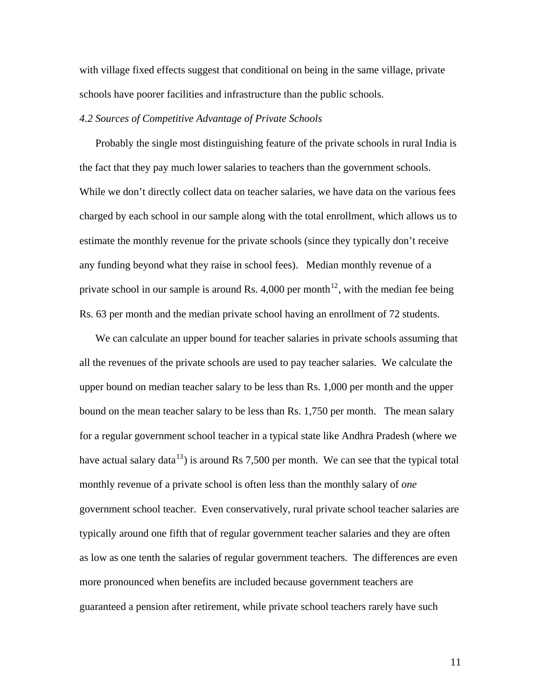with village fixed effects suggest that conditional on being in the same village, private schools have poorer facilities and infrastructure than the public schools.

# *4.2 Sources of Competitive Advantage of Private Schools*

Probably the single most distinguishing feature of the private schools in rural India is the fact that they pay much lower salaries to teachers than the government schools. While we don't directly collect data on teacher salaries, we have data on the various fees charged by each school in our sample along with the total enrollment, which allows us to estimate the monthly revenue for the private schools (since they typically don't receive any funding beyond what they raise in school fees). Median monthly revenue of a private school in our sample is around Rs. 4,000 per month<sup>[12](#page-18-0)</sup>, with the median fee being Rs. 63 per month and the median private school having an enrollment of 72 students.

We can calculate an upper bound for teacher salaries in private schools assuming that all the revenues of the private schools are used to pay teacher salaries. We calculate the upper bound on median teacher salary to be less than Rs. 1,000 per month and the upper bound on the mean teacher salary to be less than Rs. 1,750 per month. The mean salary for a regular government school teacher in a typical state like Andhra Pradesh (where we have actual salary data<sup>[13](#page-18-0)</sup>) is around Rs 7,500 per month. We can see that the typical total monthly revenue of a private school is often less than the monthly salary of *one* government school teacher. Even conservatively, rural private school teacher salaries are typically around one fifth that of regular government teacher salaries and they are often as low as one tenth the salaries of regular government teachers. The differences are even more pronounced when benefits are included because government teachers are guaranteed a pension after retirement, while private school teachers rarely have such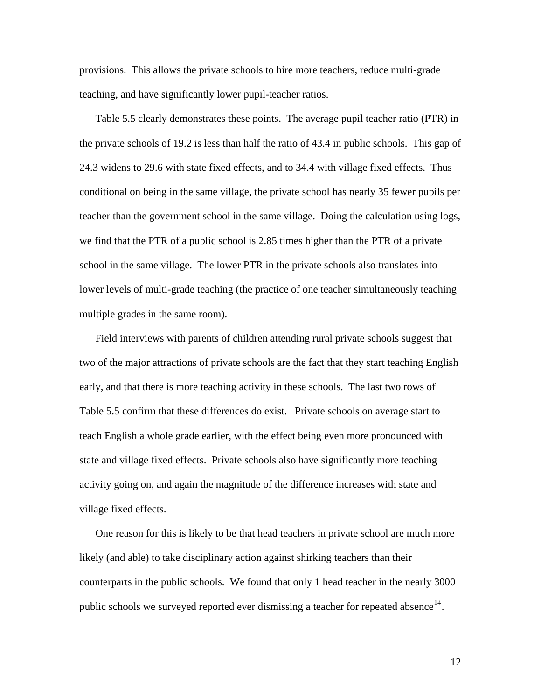provisions. This allows the private schools to hire more teachers, reduce multi-grade teaching, and have significantly lower pupil-teacher ratios.

Table 5.5 clearly demonstrates these points. The average pupil teacher ratio (PTR) in the private schools of 19.2 is less than half the ratio of 43.4 in public schools. This gap of 24.3 widens to 29.6 with state fixed effects, and to 34.4 with village fixed effects. Thus conditional on being in the same village, the private school has nearly 35 fewer pupils per teacher than the government school in the same village. Doing the calculation using logs, we find that the PTR of a public school is 2.85 times higher than the PTR of a private school in the same village. The lower PTR in the private schools also translates into lower levels of multi-grade teaching (the practice of one teacher simultaneously teaching multiple grades in the same room).

Field interviews with parents of children attending rural private schools suggest that two of the major attractions of private schools are the fact that they start teaching English early, and that there is more teaching activity in these schools. The last two rows of Table 5.5 confirm that these differences do exist. Private schools on average start to teach English a whole grade earlier, with the effect being even more pronounced with state and village fixed effects. Private schools also have significantly more teaching activity going on, and again the magnitude of the difference increases with state and village fixed effects.

One reason for this is likely to be that head teachers in private school are much more likely (and able) to take disciplinary action against shirking teachers than their counterparts in the public schools. We found that only 1 head teacher in the nearly 3000 public schools we surveyed reported ever dismissing a teacher for repeated absence<sup>[14](#page-18-0)</sup>.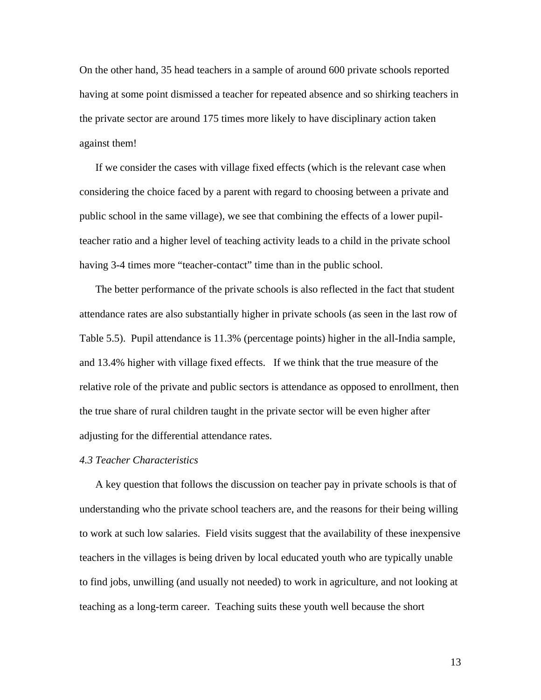On the other hand, 35 head teachers in a sample of around 600 private schools reported having at some point dismissed a teacher for repeated absence and so shirking teachers in the private sector are around 175 times more likely to have disciplinary action taken against them!

If we consider the cases with village fixed effects (which is the relevant case when considering the choice faced by a parent with regard to choosing between a private and public school in the same village), we see that combining the effects of a lower pupilteacher ratio and a higher level of teaching activity leads to a child in the private school having 3-4 times more "teacher-contact" time than in the public school.

The better performance of the private schools is also reflected in the fact that student attendance rates are also substantially higher in private schools (as seen in the last row of Table 5.5). Pupil attendance is 11.3% (percentage points) higher in the all-India sample, and 13.4% higher with village fixed effects. If we think that the true measure of the relative role of the private and public sectors is attendance as opposed to enrollment, then the true share of rural children taught in the private sector will be even higher after adjusting for the differential attendance rates.

# *4.3 Teacher Characteristics*

A key question that follows the discussion on teacher pay in private schools is that of understanding who the private school teachers are, and the reasons for their being willing to work at such low salaries. Field visits suggest that the availability of these inexpensive teachers in the villages is being driven by local educated youth who are typically unable to find jobs, unwilling (and usually not needed) to work in agriculture, and not looking at teaching as a long-term career. Teaching suits these youth well because the short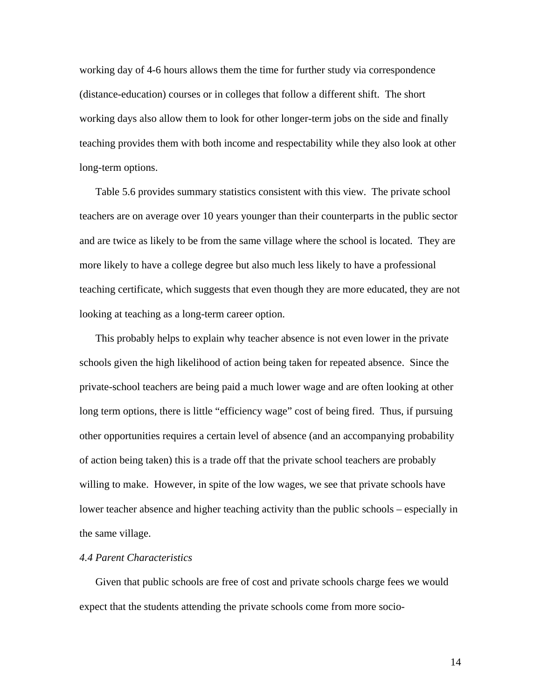working day of 4-6 hours allows them the time for further study via correspondence (distance-education) courses or in colleges that follow a different shift. The short working days also allow them to look for other longer-term jobs on the side and finally teaching provides them with both income and respectability while they also look at other long-term options.

Table 5.6 provides summary statistics consistent with this view. The private school teachers are on average over 10 years younger than their counterparts in the public sector and are twice as likely to be from the same village where the school is located. They are more likely to have a college degree but also much less likely to have a professional teaching certificate, which suggests that even though they are more educated, they are not looking at teaching as a long-term career option.

This probably helps to explain why teacher absence is not even lower in the private schools given the high likelihood of action being taken for repeated absence. Since the private-school teachers are being paid a much lower wage and are often looking at other long term options, there is little "efficiency wage" cost of being fired. Thus, if pursuing other opportunities requires a certain level of absence (and an accompanying probability of action being taken) this is a trade off that the private school teachers are probably willing to make. However, in spite of the low wages, we see that private schools have lower teacher absence and higher teaching activity than the public schools – especially in the same village.

# *4.4 Parent Characteristics*

Given that public schools are free of cost and private schools charge fees we would expect that the students attending the private schools come from more socio-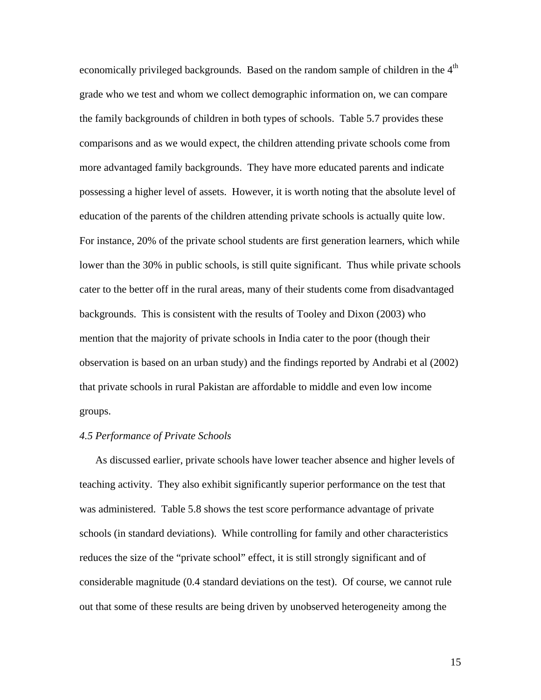economically privileged backgrounds. Based on the random sample of children in the 4<sup>th</sup> grade who we test and whom we collect demographic information on, we can compare the family backgrounds of children in both types of schools. Table 5.7 provides these comparisons and as we would expect, the children attending private schools come from more advantaged family backgrounds. They have more educated parents and indicate possessing a higher level of assets. However, it is worth noting that the absolute level of education of the parents of the children attending private schools is actually quite low. For instance, 20% of the private school students are first generation learners, which while lower than the 30% in public schools, is still quite significant. Thus while private schools cater to the better off in the rural areas, many of their students come from disadvantaged backgrounds. This is consistent with the results of Tooley and Dixon (2003) who mention that the majority of private schools in India cater to the poor (though their observation is based on an urban study) and the findings reported by Andrabi et al (2002) that private schools in rural Pakistan are affordable to middle and even low income groups.

# *4.5 Performance of Private Schools*

As discussed earlier, private schools have lower teacher absence and higher levels of teaching activity. They also exhibit significantly superior performance on the test that was administered. Table 5.8 shows the test score performance advantage of private schools (in standard deviations). While controlling for family and other characteristics reduces the size of the "private school" effect, it is still strongly significant and of considerable magnitude (0.4 standard deviations on the test). Of course, we cannot rule out that some of these results are being driven by unobserved heterogeneity among the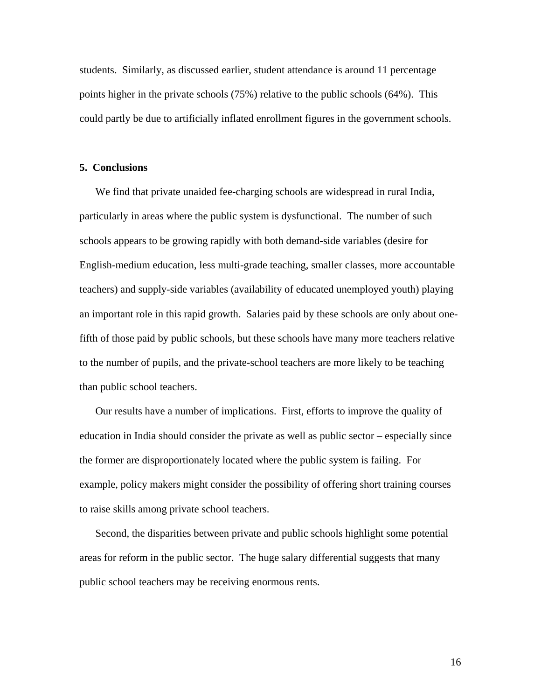students. Similarly, as discussed earlier, student attendance is around 11 percentage points higher in the private schools (75%) relative to the public schools (64%). This could partly be due to artificially inflated enrollment figures in the government schools.

## **5. Conclusions**

We find that private unaided fee-charging schools are widespread in rural India, particularly in areas where the public system is dysfunctional. The number of such schools appears to be growing rapidly with both demand-side variables (desire for English-medium education, less multi-grade teaching, smaller classes, more accountable teachers) and supply-side variables (availability of educated unemployed youth) playing an important role in this rapid growth. Salaries paid by these schools are only about onefifth of those paid by public schools, but these schools have many more teachers relative to the number of pupils, and the private-school teachers are more likely to be teaching than public school teachers.

Our results have a number of implications. First, efforts to improve the quality of education in India should consider the private as well as public sector – especially since the former are disproportionately located where the public system is failing. For example, policy makers might consider the possibility of offering short training courses to raise skills among private school teachers.

Second, the disparities between private and public schools highlight some potential areas for reform in the public sector. The huge salary differential suggests that many public school teachers may be receiving enormous rents.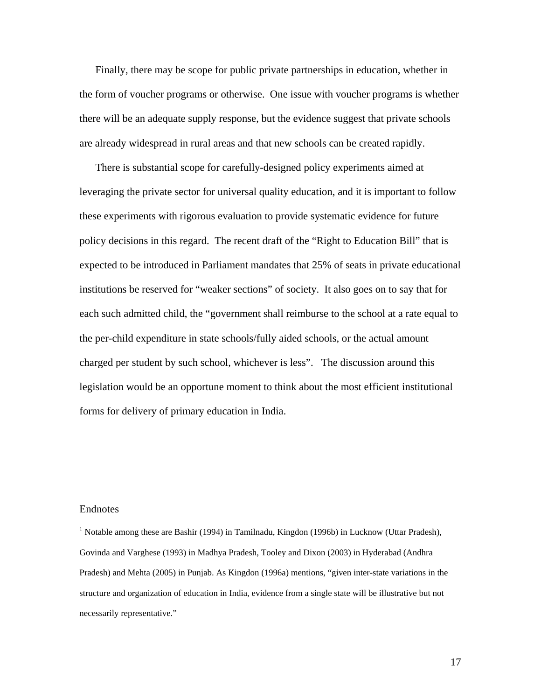Finally, there may be scope for public private partnerships in education, whether in the form of voucher programs or otherwise. One issue with voucher programs is whether there will be an adequate supply response, but the evidence suggest that private schools are already widespread in rural areas and that new schools can be created rapidly.

There is substantial scope for carefully-designed policy experiments aimed at leveraging the private sector for universal quality education, and it is important to follow these experiments with rigorous evaluation to provide systematic evidence for future policy decisions in this regard. The recent draft of the "Right to Education Bill" that is expected to be introduced in Parliament mandates that 25% of seats in private educational institutions be reserved for "weaker sections" of society. It also goes on to say that for each such admitted child, the "government shall reimburse to the school at a rate equal to the per-child expenditure in state schools/fully aided schools, or the actual amount charged per student by such school, whichever is less". The discussion around this legislation would be an opportune moment to think about the most efficient institutional forms for delivery of primary education in India.

#### Endnotes

 $\overline{a}$ 

<span id="page-16-0"></span><sup>&</sup>lt;sup>1</sup> Notable among these are Bashir (1994) in Tamilnadu, Kingdon (1996b) in Lucknow (Uttar Pradesh), Govinda and Varghese (1993) in Madhya Pradesh, Tooley and Dixon (2003) in Hyderabad (Andhra Pradesh) and Mehta (2005) in Punjab. As Kingdon (1996a) mentions, "given inter-state variations in the structure and organization of education in India, evidence from a single state will be illustrative but not necessarily representative."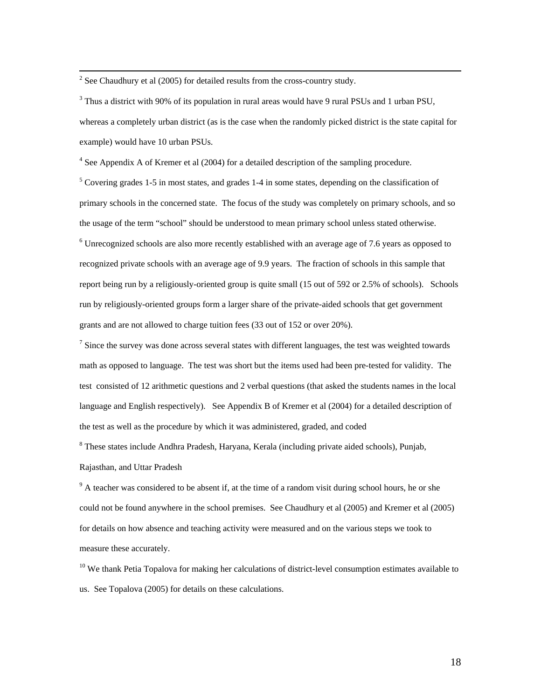<span id="page-17-0"></span> $\frac{1}{2}$  $2$  See Chaudhury et al (2005) for detailed results from the cross-country study.

 $3$  Thus a district with 90% of its population in rural areas would have 9 rural PSUs and 1 urban PSU, whereas a completely urban district (as is the case when the randomly picked district is the state capital for example) would have 10 urban PSUs.

 $4$  See Appendix A of Kremer et al (2004) for a detailed description of the sampling procedure.

<sup>5</sup> Covering grades 1-5 in most states, and grades 1-4 in some states, depending on the classification of primary schools in the concerned state. The focus of the study was completely on primary schools, and so the usage of the term "school" should be understood to mean primary school unless stated otherwise. <sup>6</sup> Unrecognized schools are also more recently established with an average age of 7.6 years as opposed to

recognized private schools with an average age of 9.9 years. The fraction of schools in this sample that report being run by a religiously-oriented group is quite small (15 out of 592 or 2.5% of schools). Schools run by religiously-oriented groups form a larger share of the private-aided schools that get government grants and are not allowed to charge tuition fees (33 out of 152 or over 20%).

 $<sup>7</sup>$  Since the survey was done across several states with different languages, the test was weighted towards</sup> math as opposed to language. The test was short but the items used had been pre-tested for validity. The test consisted of 12 arithmetic questions and 2 verbal questions (that asked the students names in the local language and English respectively). See Appendix B of Kremer et al (2004) for a detailed description of the test as well as the procedure by which it was administered, graded, and coded

<sup>8</sup> These states include Andhra Pradesh, Haryana, Kerala (including private aided schools), Punjab, Rajasthan, and Uttar Pradesh

 $9<sup>9</sup>$  A teacher was considered to be absent if, at the time of a random visit during school hours, he or she could not be found anywhere in the school premises. See Chaudhury et al (2005) and Kremer et al (2005) for details on how absence and teaching activity were measured and on the various steps we took to measure these accurately.

<sup>10</sup> We thank Petia Topalova for making her calculations of district-level consumption estimates available to us. See Topalova (2005) for details on these calculations.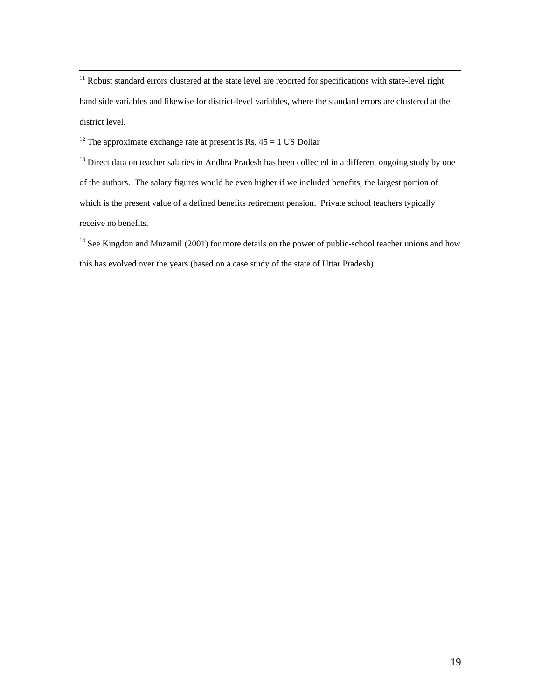<span id="page-18-0"></span><sup>11</sup> Robust standard errors clustered at the state level are reported for specifications with state-level right hand side variables and likewise for district-level variables, where the standard errors are clustered at the district level.

<sup>12</sup> The approximate exchange rate at present is Rs.  $45 = 1$  US Dollar

<sup>13</sup> Direct data on teacher salaries in Andhra Pradesh has been collected in a different ongoing study by one of the authors. The salary figures would be even higher if we included benefits, the largest portion of which is the present value of a defined benefits retirement pension. Private school teachers typically receive no benefits.

<sup>14</sup> See Kingdon and Muzamil (2001) for more details on the power of public-school teacher unions and how this has evolved over the years (based on a case study of the state of Uttar Pradesh)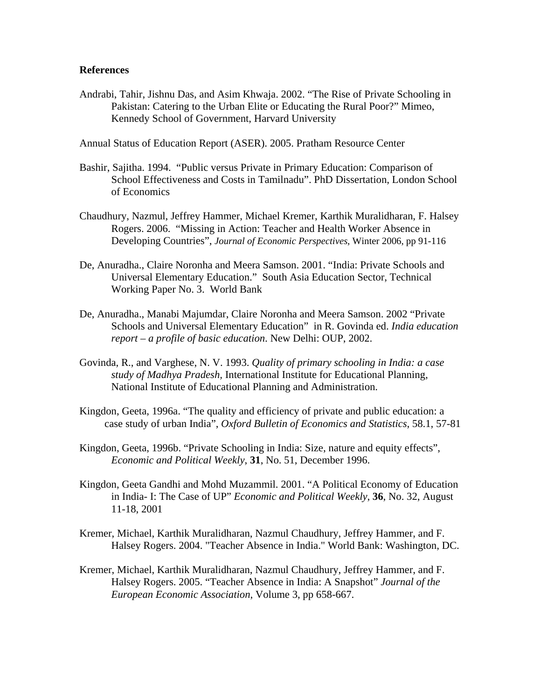# **References**

Andrabi, Tahir, Jishnu Das, and Asim Khwaja. 2002. "The Rise of Private Schooling in Pakistan: Catering to the Urban Elite or Educating the Rural Poor?" Mimeo, Kennedy School of Government, Harvard University

Annual Status of Education Report (ASER). 2005. Pratham Resource Center

- Bashir, Sajitha. 1994. "Public versus Private in Primary Education: Comparison of School Effectiveness and Costs in Tamilnadu". PhD Dissertation, London School of Economics
- Chaudhury, Nazmul, Jeffrey Hammer, Michael Kremer, Karthik Muralidharan, F. Halsey Rogers. 2006. "Missing in Action: Teacher and Health Worker Absence in Developing Countries", *Journal of Economic Perspectives*, Winter 2006, pp 91-116
- De, Anuradha., Claire Noronha and Meera Samson. 2001. "India: Private Schools and Universal Elementary Education." South Asia Education Sector, Technical Working Paper No. 3. World Bank
- De, Anuradha., Manabi Majumdar, Claire Noronha and Meera Samson. 2002 "Private Schools and Universal Elementary Education" in R. Govinda ed. *India education report – a profile of basic education*. New Delhi: OUP, 2002.
- Govinda, R., and Varghese, N. V. 1993. *Quality of primary schooling in India: a case study of Madhya Pradesh,* International Institute for Educational Planning, National Institute of Educational Planning and Administration.
- Kingdon, Geeta, 1996a. "The quality and efficiency of private and public education: a case study of urban India", *Oxford Bulletin of Economics and Statistics*, 58.1, 57-81
- Kingdon, Geeta, 1996b. ["Private Schooling in India: Size, nature and equity effects](http://www.economics.ox.ac.uk/Members/geeta.kingdon/PublishedPapers/privateschoolinginindia.pdf)", *Economic and Political Weekly*, **31**, No. 51, December 1996.
- Kingdon, Geeta Gandhi and Mohd Muzammil. 2001. "A Political Economy of Education in India- I: The Case of UP" *Economic and Political Weekly*, **36**, No. 32, August 11-18, 2001
- Kremer, Michael, Karthik Muralidharan, Nazmul Chaudhury, Jeffrey Hammer, and F. Halsey Rogers. 2004. "Teacher Absence in India." World Bank: Washington, DC.
- Kremer, Michael, Karthik Muralidharan, Nazmul Chaudhury, Jeffrey Hammer, and F. Halsey Rogers. 2005. "Teacher Absence in India: A Snapshot" *Journal of the European Economic Association*, Volume 3, pp 658-667.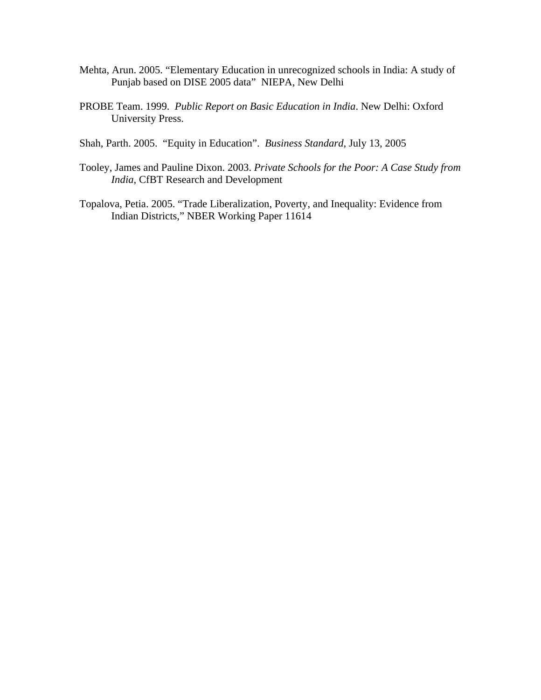- Mehta, Arun. 2005. "Elementary Education in unrecognized schools in India: A study of Punjab based on DISE 2005 data" NIEPA, New Delhi
- PROBE Team. 1999. *Public Report on Basic Education in India*. New Delhi: Oxford University Press.
- Shah, Parth. 2005. "Equity in Education". *Business Standard*, July 13, 2005
- Tooley, James and Pauline Dixon. 2003. *Private Schools for the Poor: A Case Study from India*, CfBT Research and Development
- Topalova, Petia. 2005. "Trade Liberalization, Poverty, and Inequality: Evidence from Indian Districts," NBER Working Paper 11614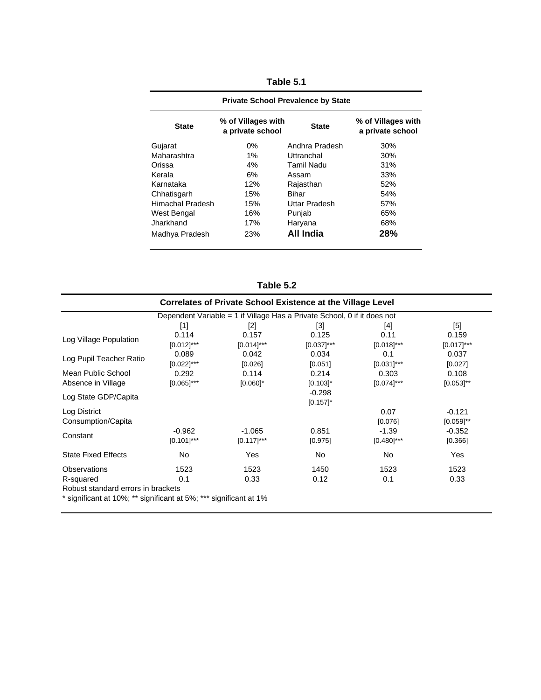| <b>Private School Prevalence by State</b> |                                        |                |                                        |  |  |
|-------------------------------------------|----------------------------------------|----------------|----------------------------------------|--|--|
| <b>State</b>                              | % of Villages with<br>a private school | <b>State</b>   | % of Villages with<br>a private school |  |  |
| Gujarat                                   | 0%                                     | Andhra Pradesh | 30%                                    |  |  |
| Maharashtra                               | $1\%$                                  | Uttranchal     | 30%                                    |  |  |
| Orissa                                    | 4%                                     | Tamil Nadu     | 31%                                    |  |  |
| Kerala                                    | 6%                                     | Assam          | 33%                                    |  |  |
| Karnataka                                 | 12%                                    | Rajasthan      | 52%                                    |  |  |
| Chhatisgarh                               | 15%                                    | Bihar          | 54%                                    |  |  |
| Himachal Pradesh                          | 15%                                    | Uttar Pradesh  | 57%                                    |  |  |
| <b>West Bengal</b>                        | 16%                                    | Punjab         | 65%                                    |  |  |
| Jharkhand                                 | 17%                                    | Haryana        | 68%                                    |  |  |
| Madhya Pradesh                            | 23%                                    | All India      | 28%                                    |  |  |

**Table 5.1**

**Table 5.2**

|                                                                   | <b>Correlates of Private School Existence at the Village Level</b>       |               |               |               |                |  |  |  |
|-------------------------------------------------------------------|--------------------------------------------------------------------------|---------------|---------------|---------------|----------------|--|--|--|
|                                                                   | Dependent Variable = 1 if Village Has a Private School, 0 if it does not |               |               |               |                |  |  |  |
|                                                                   | $[1]$                                                                    | $[2]$         | $[3]$         | [4]           | [5]            |  |  |  |
| Log Village Population                                            | 0.114                                                                    | 0.157         | 0.125         | 0.11          | 0.159          |  |  |  |
|                                                                   | $[0.012]$ ***                                                            | $[0.014]$ *** | $[0.037]$ *** | $[0.018]$ *** | $[0.017]$ ***  |  |  |  |
| Log Pupil Teacher Ratio                                           | 0.089                                                                    | 0.042         | 0.034         | 0.1           | 0.037          |  |  |  |
|                                                                   | $[0.022]$ ***                                                            | [0.026]       | [0.051]       | $[0.031]$ *** | [0.027]        |  |  |  |
| Mean Public School                                                | 0.292                                                                    | 0.114         | 0.214         | 0.303         | 0.108          |  |  |  |
| Absence in Village                                                | $[0.065]$ ***                                                            | $[0.060]$ *   | $[0.103]$ *   | $[0.074]$ *** | $[0.053]^{**}$ |  |  |  |
|                                                                   |                                                                          |               | $-0.298$      |               |                |  |  |  |
| Log State GDP/Capita                                              |                                                                          |               | $[0.157]$ *   |               |                |  |  |  |
| Log District                                                      |                                                                          |               |               | 0.07          | $-0.121$       |  |  |  |
| Consumption/Capita                                                |                                                                          |               |               | [0.076]       | $[0.059]^{**}$ |  |  |  |
|                                                                   | $-0.962$                                                                 | $-1.065$      | 0.851         | $-1.39$       | $-0.352$       |  |  |  |
| Constant                                                          | $[0.101]$ ***                                                            | $[0.117]$ *** | [0.975]       | $[0.480]$ *** | [0.366]        |  |  |  |
| <b>State Fixed Effects</b>                                        | No.                                                                      | Yes           | No            | No            | Yes            |  |  |  |
| Observations                                                      | 1523                                                                     | 1523          | 1450          | 1523          | 1523           |  |  |  |
| R-squared                                                         | 0.1                                                                      | 0.33          | 0.12          | 0.1           | 0.33           |  |  |  |
| Robust standard errors in brackets                                |                                                                          |               |               |               |                |  |  |  |
| * significant at 10%; ** significant at 5%; *** significant at 1% |                                                                          |               |               |               |                |  |  |  |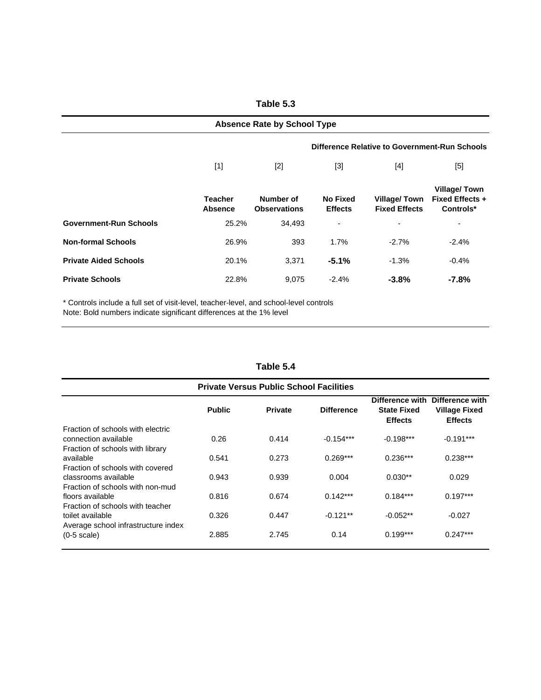| <b>Absence Rate by School Type</b> |                                               |                                  |                                   |                                      |                                                     |  |  |  |
|------------------------------------|-----------------------------------------------|----------------------------------|-----------------------------------|--------------------------------------|-----------------------------------------------------|--|--|--|
|                                    | Difference Relative to Government-Run Schools |                                  |                                   |                                      |                                                     |  |  |  |
|                                    | $[1]$                                         | $[2]$                            | $[3]$                             | [4]                                  | [5]                                                 |  |  |  |
|                                    | <b>Teacher</b><br>Absence                     | Number of<br><b>Observations</b> | <b>No Fixed</b><br><b>Effects</b> | Village/Town<br><b>Fixed Effects</b> | <b>Village/Town</b><br>Fixed Effects +<br>Controls* |  |  |  |
| <b>Government-Run Schools</b>      | 25.2%                                         | 34,493                           | ٠                                 | $\blacksquare$                       | ٠                                                   |  |  |  |
| <b>Non-formal Schools</b>          | 26.9%                                         | 393                              | 1.7%                              | $-2.7\%$                             | $-2.4%$                                             |  |  |  |
| <b>Private Aided Schools</b>       | 20.1%                                         | 3,371                            | $-5.1%$                           | $-1.3%$                              | $-0.4%$                                             |  |  |  |
| <b>Private Schools</b>             | 22.8%                                         | 9,075                            | $-2.4%$                           | $-3.8%$                              | -7.8%                                               |  |  |  |

\* Controls include a full set of visit-level, teacher-level, and school-level controls

Note: Bold numbers indicate significant differences at the 1% level

| Table 5.4 |  |
|-----------|--|
|-----------|--|

|                                     | <b>Public</b> | <b>Private</b> | <b>Difference</b> | Difference with<br><b>State Fixed</b><br><b>Effects</b> | Difference with<br><b>Village Fixed</b><br><b>Effects</b> |
|-------------------------------------|---------------|----------------|-------------------|---------------------------------------------------------|-----------------------------------------------------------|
| Fraction of schools with electric   |               |                |                   |                                                         |                                                           |
| connection available                | 0.26          | 0.414          | $-0.154***$       | $-0.198***$                                             | $-0.191***$                                               |
| Fraction of schools with library    |               |                |                   |                                                         |                                                           |
| available                           | 0.541         | 0.273          | $0.269***$        | $0.236***$                                              | $0.238***$                                                |
| Fraction of schools with covered    |               |                |                   |                                                         |                                                           |
| classrooms available                | 0.943         | 0.939          | 0.004             | $0.030**$                                               | 0.029                                                     |
| Fraction of schools with non-mud    |               |                |                   |                                                         |                                                           |
| floors available                    | 0.816         | 0.674          | $0.142***$        | $0.184***$                                              | $0.197***$                                                |
| Fraction of schools with teacher    |               |                |                   |                                                         |                                                           |
| toilet available                    | 0.326         | 0.447          | $-0.121**$        | $-0.052**$                                              | $-0.027$                                                  |
| Average school infrastructure index |               |                |                   |                                                         |                                                           |
| $(0-5 \text{ scale})$               | 2.885         | 2.745          | 0.14              | $0.199***$                                              | $0.247***$                                                |

**Table 5.3**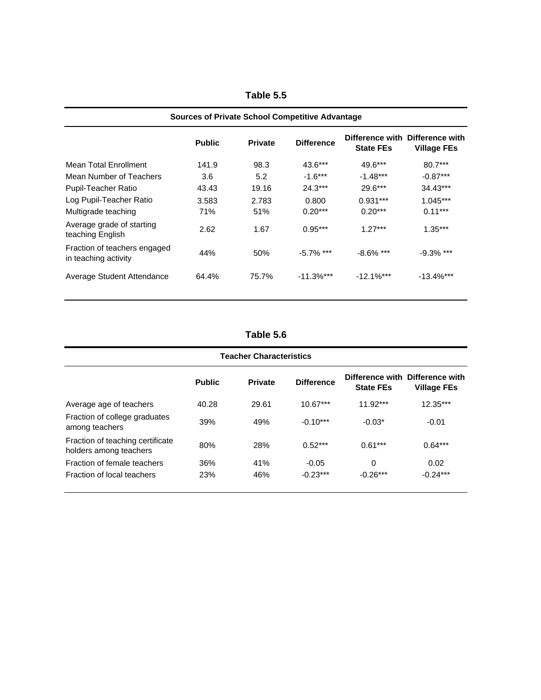| <b>Sources of Private School Competitive Advantage</b> |               |                |                   |                  |                                                       |  |
|--------------------------------------------------------|---------------|----------------|-------------------|------------------|-------------------------------------------------------|--|
|                                                        | <b>Public</b> | <b>Private</b> | <b>Difference</b> | <b>State FEs</b> | Difference with Difference with<br><b>Village FEs</b> |  |
| Mean Total Enrollment                                  | 141.9         | 98.3           | $43.6***$         | $49.6***$        | $80.7***$                                             |  |
| Mean Number of Teachers                                | 3.6           | 5.2            | $-1.6***$         | $-1.48***$       | $-0.87***$                                            |  |
| <b>Pupil-Teacher Ratio</b>                             | 43.43         | 19.16          | $24.3***$         | $29.6***$        | 34.43***                                              |  |
| Log Pupil-Teacher Ratio                                | 3.583         | 2.783          | 0.800             | $0.931***$       | $1.045***$                                            |  |
| Multigrade teaching                                    | 71%           | 51%            | $0.20***$         | $0.20***$        | $0.11***$                                             |  |
| Average grade of starting<br>teaching English          | 2.62          | 1.67           | $0.95***$         | $1.27***$        | $1.35***$                                             |  |
| Fraction of teachers engaged<br>in teaching activity   | 44%           | 50%            | $-5.7\%$ ***      | $-8.6\%$ ***     | $-9.3\%$ ***                                          |  |
| Average Student Attendance                             | 64.4%         | 75.7%          | $-11.3%$ ***      | $-12.1\%$ ***    | $-13.4%$ ***                                          |  |

**Table 5.5**

**Table 5.6**

| <b>Teacher Characteristics</b>                             |               |                |                   |                  |                                                       |  |  |
|------------------------------------------------------------|---------------|----------------|-------------------|------------------|-------------------------------------------------------|--|--|
|                                                            | <b>Public</b> | <b>Private</b> | <b>Difference</b> | <b>State FEs</b> | Difference with Difference with<br><b>Village FEs</b> |  |  |
| Average age of teachers                                    | 40.28         | 29.61          | $10.67***$        | $11.92***$       | $12.35***$                                            |  |  |
| Fraction of college graduates<br>among teachers            | 39%           | 49%            | $-0.10***$        | $-0.03*$         | $-0.01$                                               |  |  |
| Fraction of teaching certificate<br>holders among teachers | 80%           | 28%            | $0.52***$         | $0.61***$        | $0.64***$                                             |  |  |
| Fraction of female teachers                                | 36%           | 41%            | $-0.05$           | 0                | 0.02                                                  |  |  |
| Fraction of local teachers                                 | 23%           | 46%            | $-0.23***$        | $-0.26***$       | $-0.24***$                                            |  |  |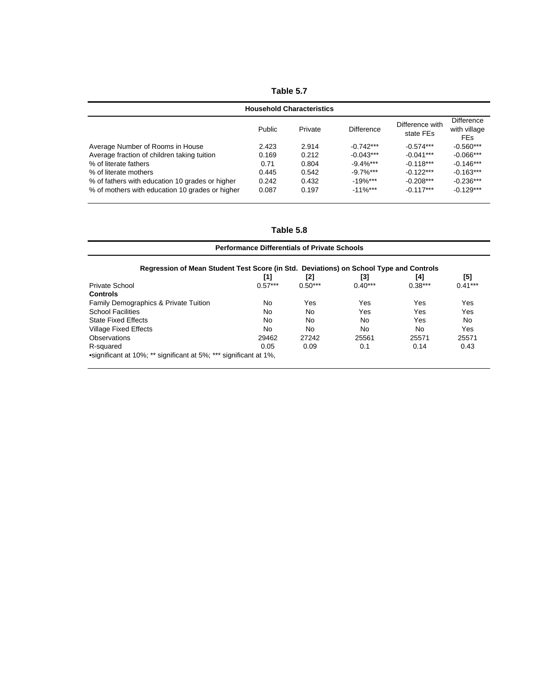| Table 5.7                                       |        |         |                   |                              |                                          |  |
|-------------------------------------------------|--------|---------|-------------------|------------------------------|------------------------------------------|--|
| <b>Household Characteristics</b>                |        |         |                   |                              |                                          |  |
|                                                 | Public | Private | <b>Difference</b> | Difference with<br>state FEs | Difference<br>with village<br><b>FEs</b> |  |
| Average Number of Rooms in House                | 2.423  | 2.914   | $-0.742***$       | $-0.574***$                  | $-0.560***$                              |  |
| Average fraction of children taking tuition     | 0.169  | 0.212   | $-0.043***$       | $-0.041***$                  | $-0.066***$                              |  |
| % of literate fathers                           | 0.71   | 0.804   | $-9.4\%$ ***      | $-0.118***$                  | $-0.146***$                              |  |
| % of literate mothers                           | 0.445  | 0.542   | $-9.7\%$ ***      | $-0.122***$                  | $-0.163***$                              |  |
| % of fathers with education 10 grades or higher | 0.242  | 0.432   | $-19%$ ***        | $-0.208***$                  | $-0.236***$                              |  |
| % of mothers with education 10 grades or higher | 0.087  | 0.197   | $-11\%***$        | $-0.117***$                  | $-0.129***$                              |  |

| <b>Performance Differentials of Private Schools</b>                                    |           |           |           |           |           |  |
|----------------------------------------------------------------------------------------|-----------|-----------|-----------|-----------|-----------|--|
| Regression of Mean Student Test Score (in Std. Deviations) on School Type and Controls |           |           |           |           |           |  |
|                                                                                        | [1]       | [2]       | [3]       | [4]       | [5]       |  |
| Private School                                                                         | $0.57***$ | $0.50***$ | $0.40***$ | $0.38***$ | $0.41***$ |  |
| <b>Controls</b>                                                                        |           |           |           |           |           |  |
| Family Demographics & Private Tuition                                                  | No.       | Yes       | Yes       | Yes       | Yes       |  |
| <b>School Facilities</b>                                                               | No.       | No.       | Yes       | Yes       | Yes       |  |
| <b>State Fixed Effects</b>                                                             | No.       | No.       | No        | Yes       | No        |  |
| <b>Village Fixed Effects</b>                                                           | No.       | No.       | No        | No.       | Yes       |  |
| Observations                                                                           | 29462     | 27242     | 25561     | 25571     | 25571     |  |
| R-squared                                                                              | 0.05      | 0.09      | 0.1       | 0.14      | 0.43      |  |
| •significant at 10%; ** significant at 5%; *** significant at 1%,                      |           |           |           |           |           |  |

**Table 5.8**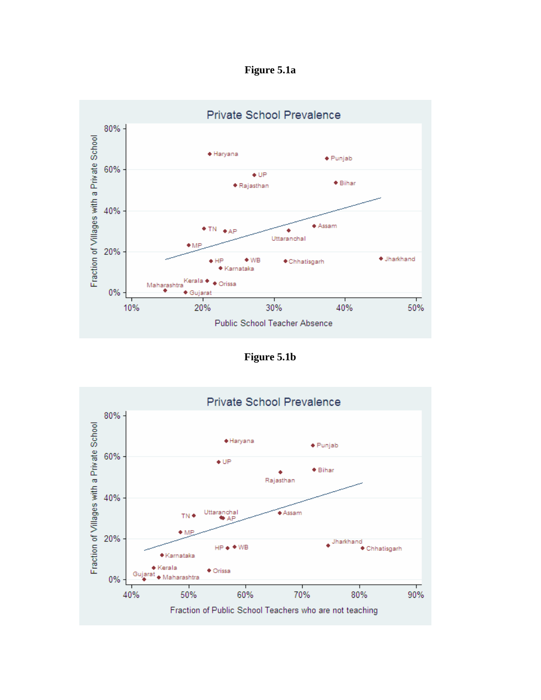**Figure 5.1a** 



**Figure 5.1b**